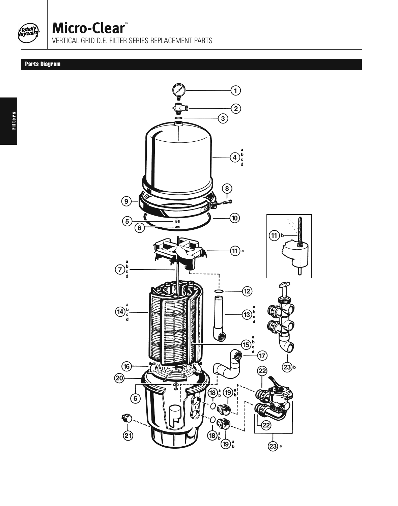

## **Micro-Clear**™

VERTICAL GRID D.E. FILTER SERIES REPLACEMENT PARTS

## Parts Diagram